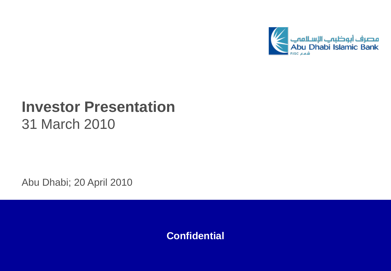

# **Investor Presentation** 31 March 2010

Abu Dhabi; 20 April 2010

**Confidential**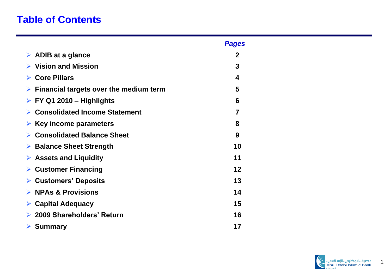# **Table of Contents**

|                                                         | <b>Pages</b> |
|---------------------------------------------------------|--------------|
| $\triangleright$ ADIB at a glance                       | 2            |
| $\triangleright$ Vision and Mission                     | 3            |
| $\triangleright$ Core Pillars                           | 4            |
| $\triangleright$ Financial targets over the medium term | 5            |
| $\triangleright$ FY Q1 2010 – Highlights                | 6            |
| ▶ Consolidated Income Statement                         | 7            |
| Key income parameters<br>➤                              | 8            |
| <b>Consolidated Balance Sheet</b>                       | 9            |
| $\triangleright$ Balance Sheet Strength                 | 10           |
| $\triangleright$ Assets and Liquidity                   | 11           |
| <b>Customer Financing</b><br>➤                          | 12           |
| $\triangleright$ Customers' Deposits                    | 13           |
| $\triangleright$ NPAs & Provisions                      | 14           |
| $\triangleright$ Capital Adequacy                       | 15           |
| 2009 Shareholders' Return                               | 16           |
| $\triangleright$ Summary                                | 17           |

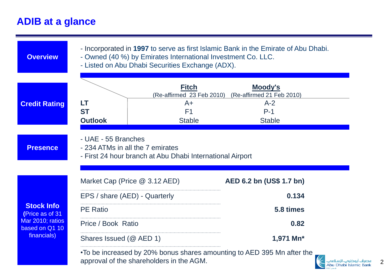## **ADIB at a glance**



 $\mathfrak{D}$ Abu Dhabi Islamic Bank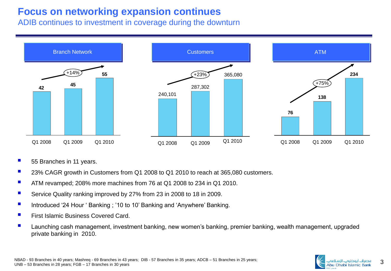### **Focus on networking expansion continues**

ADIB continues to investment in coverage during the downturn



- 55 Branches in 11 years.
- 23% CAGR growth in Customers from Q1 2008 to Q1 2010 to reach at 365,080 customers.
- ATM revamped; 208% more machines from 76 at Q1 2008 to 234 in Q1 2010.
- Service Quality ranking improved by 27% from 23 in 2008 to 18 in 2009.
- Introduced '24 Hour ' Banking ; '10 to 10' Banking and 'Anywhere' Banking.
- First Islamic Business Covered Card.
- Launching cash management, investment banking, new women's banking, premier banking, wealth management, upgraded private banking in 2010.

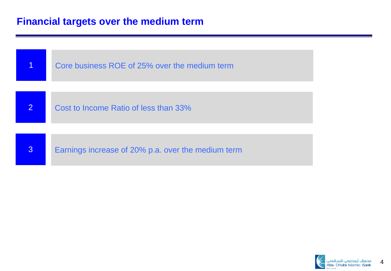#### **Financial targets over the medium term**



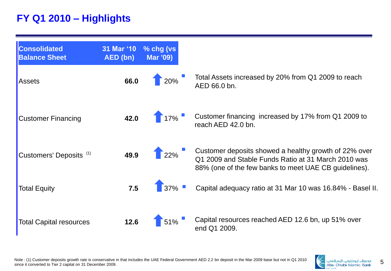# **FY Q1 2010 – Highlights**



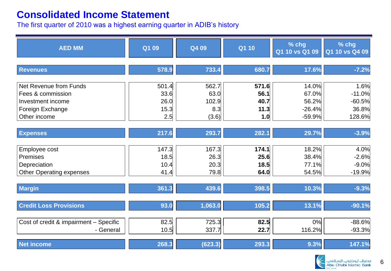#### **Consolidated Income Statement**

The first quarter of 2010 was a highest earning quarter in ADIB's history

| <b>AED MM</b>                                                                        | Q1 09                         | Q4 09                         | Q1 10                         | $%$ chg<br>Q1 10 vs Q1 09           | % chg<br>Q1 10 vs Q4 09                |
|--------------------------------------------------------------------------------------|-------------------------------|-------------------------------|-------------------------------|-------------------------------------|----------------------------------------|
| <b>Revenues</b>                                                                      | 578.9                         | 733.4                         | 680.7                         | 17.6%                               | $-7.2%$                                |
| Net Revenue from Funds<br>Fees & commission<br>Investment income<br>Foreign Exchange | 501.4<br>33.6<br>26.0<br>15.3 | 562.7<br>63.0<br>102.9<br>8.3 | 571.6<br>56.1<br>40.7<br>11.3 | 14.0%<br>67.0%<br>56.2%<br>$-26.4%$ | 1.6%<br>$-11.0%$<br>$-60.5%$<br>36.8%  |
| Other income                                                                         | 2.5                           | (3.6)                         | 1.0                           | $-59.9%$                            | 128.6%                                 |
| <b>Expenses</b>                                                                      | 217.6                         | 293.7                         | 282.1                         | 29.7%                               | $-3.9%$                                |
| Employee cost<br>Premises<br>Depreciation<br><b>Other Operating expenses</b>         | 147.3<br>18.5<br>10.4<br>41.4 | 167.3<br>26.3<br>20.3<br>79.8 | 174.1<br>25.6<br>18.5<br>64.0 | 18.2%<br>38.4%<br>77.1%<br>54.5%    | 4.0%<br>$-2.6%$<br>$-9.0%$<br>$-19.9%$ |
| <b>Margin</b>                                                                        | 361.3                         | 439.6                         | 398.5                         | 10.3%                               | $-9.3%$                                |
| <b>Credit Loss Provisions</b>                                                        | 93.0                          | 1,063.0                       | 105.2                         | 13.1%                               | $-90.1%$                               |
| Cost of credit & impairment - Specific<br>- General                                  | 82.5<br>10.5                  | 725.3<br>337.7                | 82.5<br>22.7                  | 0%<br>116.2%                        | $-88.6%$<br>$-93.3%$                   |
| Net income                                                                           | 268.3                         | (623.3)                       | 293.3                         | 9.3%                                | 147.1%                                 |

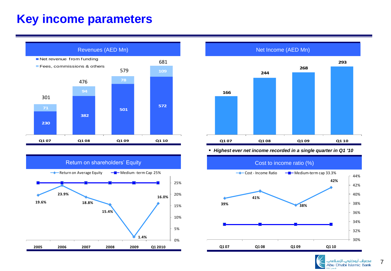# **Key income parameters**







*Highest ever net income recorded in a single quarter in Q1 '10*



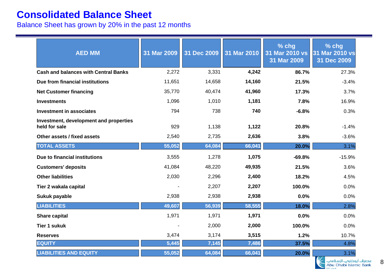#### **Consolidated Balance Sheet**

Balance Sheet has grown by 20% in the past 12 months

| <b>AED MM</b>                                           | 31 Mar 2009 | 31 Dec 2009 | 31 Mar 2010 | % chg<br>31 Mar 2010 vs<br>31 Mar 2009 | % chg<br>31 Mar 2010 vs<br>31 Dec 2009 |
|---------------------------------------------------------|-------------|-------------|-------------|----------------------------------------|----------------------------------------|
| <b>Cash and balances with Central Banks</b>             | 2,272       | 3,331       | 4,242       | 86.7%                                  | 27.3%                                  |
| Due from financial institutions                         | 11,651      | 14,658      | 14,160      | 21.5%                                  | $-3.4%$                                |
| <b>Net Customer financing</b>                           | 35,770      | 40,474      | 41,960      | 17.3%                                  | 3.7%                                   |
| <b>Investments</b>                                      | 1,096       | 1,010       | 1,181       | 7.8%                                   | 16.9%                                  |
| <b>Investment in associates</b>                         | 794         | 738         | 740         | $-6.8%$                                | 0.3%                                   |
| Investment, development and properties<br>held for sale | 929         | 1,138       | 1,122       | 20.8%                                  | $-1.4%$                                |
| Other assets / fixed assets                             | 2,540       | 2,735       | 2,636       | 3.8%                                   | $-3.6%$                                |
| <b>TOTAL ASSETS</b>                                     | 55,052      | 64,084      | 66,041      | 20.0%                                  | 3.1%                                   |
| Due to financial institutions                           | 3,555       | 1,278       | 1,075       | $-69.8%$                               | $-15.9%$                               |
| <b>Customers' deposits</b>                              | 41,084      | 48,220      | 49,935      | 21.5%                                  | 3.6%                                   |
| <b>Other liabilities</b>                                | 2,030       | 2,296       | 2,400       | 18.2%                                  | 4.5%                                   |
| Tier 2 wakala capital                                   |             | 2,207       | 2,207       | 100.0%                                 | 0.0%                                   |
| Sukuk payable                                           | 2,938       | 2,938       | 2,938       | 0.0%                                   | 0.0%                                   |
| <b>LIABILITIES</b>                                      | 49,607      | 56,939      | 58,555      | 18.0%                                  | 2.8%                                   |
| <b>Share capital</b>                                    | 1,971       | 1,971       | 1,971       | 0.0%                                   | 0.0%                                   |
| <b>Tier 1 sukuk</b>                                     |             | 2,000       | 2,000       | 100.0%                                 | 0.0%                                   |
| <b>Reserves</b>                                         | 3,474       | 3,174       | 3,515       | 1.2%                                   | 10.7%                                  |
| <b>EQUITY</b>                                           | 5,445       | 7,145       | 7,486       | 37.5%                                  | 4.8%                                   |
| <b>LIABILITIES AND EQUITY</b>                           | 55,052      | 64,084      | 66,041      | 20.0%                                  | 3.1%                                   |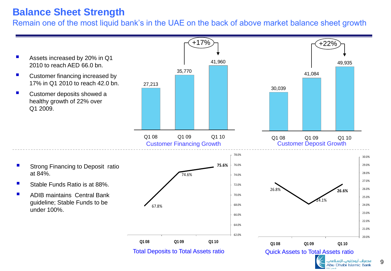## **Balance Sheet Strength**

Remain one of the most liquid bank's in the UAE on the back of above market balance sheet growth

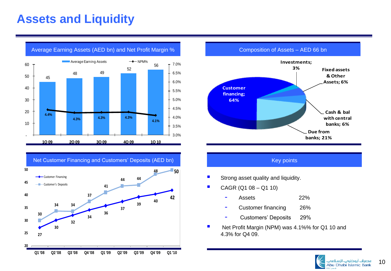# **Assets and Liquidity**



Net Customer Financing and Customers' Deposits (AED bn) Key points Key points



Average Earning Assets (AED bn) and Net Profit Margin % **Composition of Assets – AED 66 bn** 



- Strong asset quality and liquidity.
- CAGR (Q1 08 Q1 10)
	- Assets 22%
	- Customer financing 26%
	- Customers' Deposits 29%
- Net Profit Margin (NPM) was 4.1%% for Q1 10 and 4.3% for Q4 09.

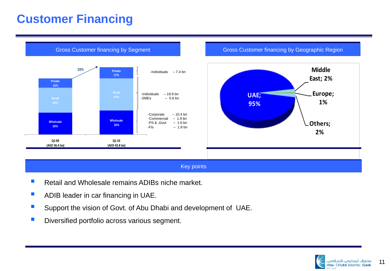# **Customer Financing**



#### Key points

- Retail and Wholesale remains ADIBs niche market.
- **ADIB leader in car financing in UAE.**
- **Support the vision of Govt. of Abu Dhabi and development of UAE.**
- **Diversified portfolio across various segment.**

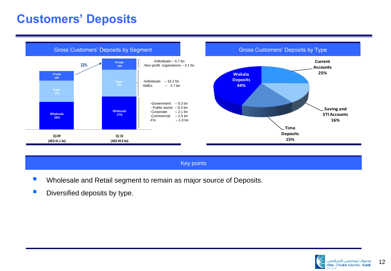# **Customers' Deposits**



#### Key points

- **Number 1** Wholesale and Retail segment to remain as major source of Deposits.
- $\blacksquare$  Diversified deposits by type.



12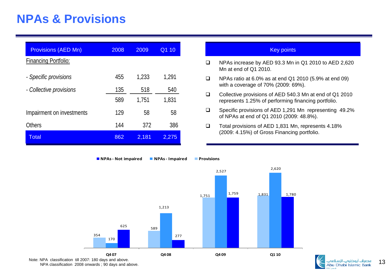# **NPAs & Provisions**

| <b>Provisions (AED Mn)</b>  | 2008 | 2009  | Q1 10 |
|-----------------------------|------|-------|-------|
| <b>Financing Portfolio:</b> |      |       |       |
| - Specific provisions       | 455  | 1,233 | 1,291 |
| - Collective provisions     | 135  | 518   | 540   |
|                             | 589  | 1,751 | 1,831 |
| Impairment on investments   | 129  | 58    | 58    |
| <b>Others</b>               | 144  | 372   | 386   |
| <b>Total</b>                | 862  | 2,181 | 2,275 |

- NPAs increase by AED 93.3 Mn in Q1 2010 to AED 2,620 Mn at end of Q1 2010.
- NPAs ratio at 6.0% as at end Q1 2010 (5.9% at end 09) with a coverage of 70% (2009: 69%).
- Collective provisions of AED 540.3 Mn at end of Q1 2010 represents 1.25% of performing financing portfolio.
- Specific provisions of AED 1,291 Mn representing 49.2% of NPAs at end of Q1 2010 (2009: 48.8%).
- □ Total provisions of AED 1,831 Mn, represents 4.18% (2009: 4.15%) of Gross Financing portfolio.



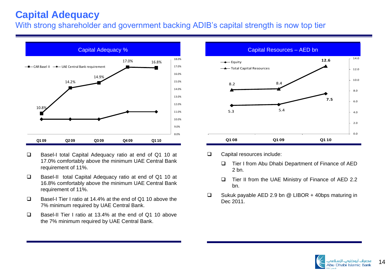# **Capital Adequacy**

With strong shareholder and government backing ADIB's capital strength is now top tier



- □ Basel-I total Capital Adequacy ratio at end of Q1 10 at 17.0% comfortably above the minimum UAE Central Bank requirement of 11%.
- Basel-II total Capital Adequacy ratio at end of Q1 10 at 16.8% comfortably above the minimum UAE Central Bank requirement of 11%.
- □ Basel-I Tier I ratio at 14.4% at the end of Q1 10 above the 7% minimum required by UAE Central Bank.
- Basel-II Tier I ratio at 13.4% at the end of Q1 10 above the 7% minimum required by UAE Central Bank.



- □ Capital resources include:
	- □ Tier I from Abu Dhabi Department of Finance of AED 2 bn.
	- $\Box$  Tier II from the UAE Ministry of Finance of AED 2.2 bn.
- □ Sukuk payable AED 2.9 bn @ LIBOR + 40bps maturing in Dec 2011.

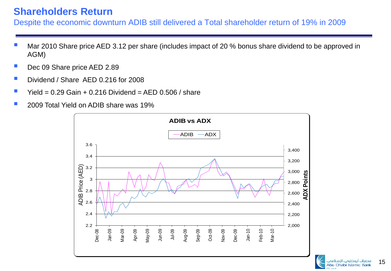## **Shareholders Return**

Despite the economic downturn ADIB still delivered a Total shareholder return of 19% in 2009

- Mar 2010 Share price AED 3.12 per share (includes impact of 20 % bonus share dividend to be approved in AGM)
- Dec 09 Share price AED 2.89
- Dividend / Share AED 0.216 for 2008
- Yield =  $0.29$  Gain +  $0.216$  Dividend = AED  $0.506$  / share
- 2009 Total Yield on ADIB share was 19%



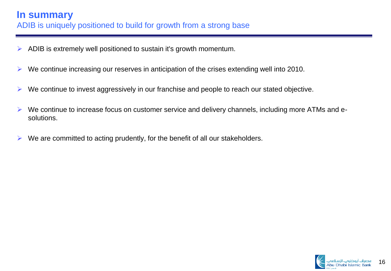- $\triangleright$  ADIB is extremely well positioned to sustain it's growth momentum.
- $\triangleright$  We continue increasing our reserves in anticipation of the crises extending well into 2010.
- $\triangleright$  We continue to invest aggressively in our franchise and people to reach our stated objective.
- $\triangleright$  We continue to increase focus on customer service and delivery channels, including more ATMs and esolutions.
- $\triangleright$  We are committed to acting prudently, for the benefit of all our stakeholders.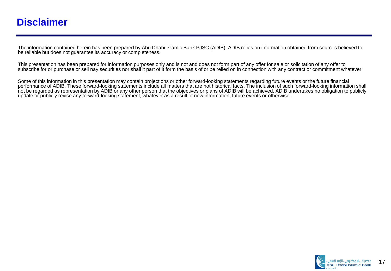#### **Disclaimer**

The information contained herein has been prepared by Abu Dhabi Islamic Bank PJSC (ADIB). ADIB relies on information obtained from sources believed to be reliable but does not guarantee its accuracy or completeness.

This presentation has been prepared for information purposes only and is not and does not form part of any offer for sale or solicitation of any offer to subscribe for or purchase or sell nay securities nor shall it part of it form the basis of or be relied on in connection with any contract or commitment whatever.

Some of this information in this presentation may contain projections or other forward-looking statements regarding future events or the future financial performance of ADIB. These forward-looking statements include all matters that are not historical facts. The inclusion of such forward-looking information shall not be regarded as representation by ADIB or any other person that the objectives or plans of ADIB will be achieved. ADIB undertakes no obligation to publicly update or publicly revise any forward-looking statement, whatever as a result of new information, future events or otherwise.

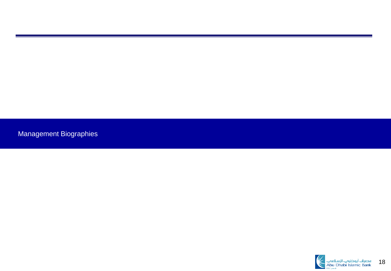Management Biographies

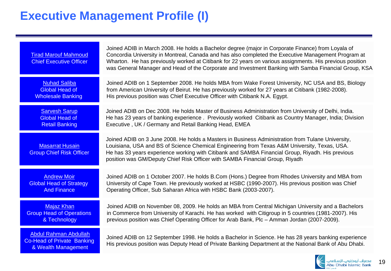# **Executive Management Profile (I)**

| <b>Tirad Marouf Mahmoud</b><br><b>Chief Executive Officer</b>                            | Joined ADIB in March 2008. He holds a Bachelor degree (major in Corporate Finance) from Loyala of<br>Concordia University in Montreal, Canada and has also completed the Executive Management Program at<br>Wharton. He has previously worked at Citibank for 22 years on various assignments. His previous position<br>was General Manager and Head of the Corporate and Investment Banking with Samba Financial Group, KSA |
|------------------------------------------------------------------------------------------|------------------------------------------------------------------------------------------------------------------------------------------------------------------------------------------------------------------------------------------------------------------------------------------------------------------------------------------------------------------------------------------------------------------------------|
| <b>Nuhad Saliba</b>                                                                      | Joined ADIB on 1 September 2008. He holds MBA from Wake Forest University, NC USA and BS, Biology                                                                                                                                                                                                                                                                                                                            |
| <b>Global Head of</b>                                                                    | from American University of Beirut. He has previously worked for 27 years at Citibank (1982-2008).                                                                                                                                                                                                                                                                                                                           |
| <b>Wholesale Banking</b>                                                                 | His previous position was Chief Executive Officer with Citibank N.A. Egypt.                                                                                                                                                                                                                                                                                                                                                  |
| <b>Sarvesh Sarup</b>                                                                     | Joined ADIB on Dec 2008. He holds Master of Business Administration from University of Delhi, India.                                                                                                                                                                                                                                                                                                                         |
| <b>Global Head of</b>                                                                    | He has 23 years of banking experience . Previously worked Citibank as Country Manager, India; Division                                                                                                                                                                                                                                                                                                                       |
| <b>Retail Banking</b>                                                                    | Executive, UK / Germany and Retail Banking Head, EMEA                                                                                                                                                                                                                                                                                                                                                                        |
| <b>Masarrat Husain</b><br><b>Group Chief Risk Officer</b>                                | Joined ADIB on 3 June 2008. He holds a Masters in Business Administration from Tulane University,<br>Louisiana, USA and BS of Science Chemical Engineering from Texas A&M University, Texas, USA.<br>He has 33 years experience working with Citibank and SAMBA Financial Group, Riyadh. His previous<br>position was GM/Deputy Chief Risk Officer with SAMBA Financial Group, Riyadh                                        |
| <b>Andrew Moir</b>                                                                       | Joined ADIB on 1 October 2007. He holds B.Com (Hons.) Degree from Rhodes University and MBA from                                                                                                                                                                                                                                                                                                                             |
| <b>Global Head of Strategy</b>                                                           | University of Cape Town. He previously worked at HSBC (1990-2007). His previous position was Chief                                                                                                                                                                                                                                                                                                                           |
| <b>And Finance</b>                                                                       | Operating Officer, Sub Saharan Africa with HSBC Bank (2003-2007).                                                                                                                                                                                                                                                                                                                                                            |
| <b>Majaz Khan</b>                                                                        | Joined ADIB on November 08, 2009. He holds an MBA from Central Michigan University and a Bachelors                                                                                                                                                                                                                                                                                                                           |
| <b>Group Head of Operations</b>                                                          | in Commerce from University of Karachi. He has worked with Citigroup in 5 countries (1981-2007). His                                                                                                                                                                                                                                                                                                                         |
| & Technology                                                                             | previous position was Chief Operating Officer for Arab Bank, Plc - Amman Jordan (2007-2009).                                                                                                                                                                                                                                                                                                                                 |
| <b>Abdul Rahman Abdullah</b><br><b>Co-Head of Private Banking</b><br>& Wealth Management | Joined ADIB on 12 September 1998. He holds a Bachelor in Science. He has 28 years banking experience<br>His previous position was Deputy Head of Private Banking Department at the National Bank of Abu Dhabi.                                                                                                                                                                                                               |